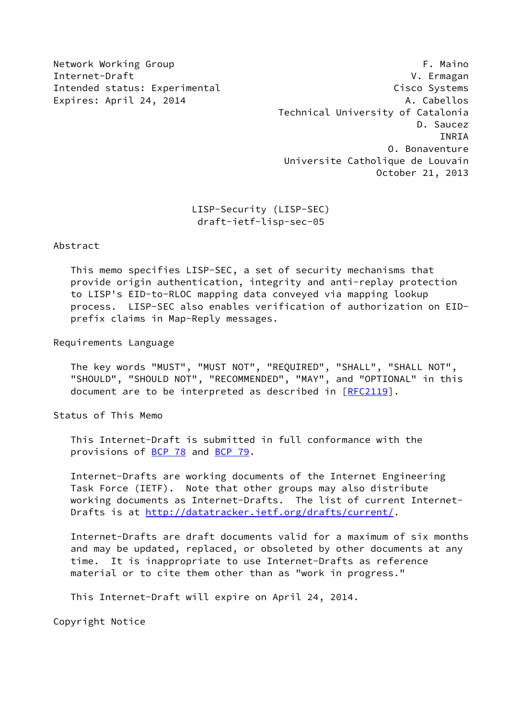Network Working Group **F. Maino** Internet-Draft V. Ermagan Intended status: Experimental Cisco Systems Expires: April 24, 2014 **A. Cabellos**  Technical University of Catalonia D. Saucez INRIA O. Bonaventure Universite Catholique de Louvain October 21, 2013

> LISP-Security (LISP-SEC) draft-ietf-lisp-sec-05

Abstract

 This memo specifies LISP-SEC, a set of security mechanisms that provide origin authentication, integrity and anti-replay protection to LISP's EID-to-RLOC mapping data conveyed via mapping lookup process. LISP-SEC also enables verification of authorization on EID prefix claims in Map-Reply messages.

Requirements Language

 The key words "MUST", "MUST NOT", "REQUIRED", "SHALL", "SHALL NOT", "SHOULD", "SHOULD NOT", "RECOMMENDED", "MAY", and "OPTIONAL" in this document are to be interpreted as described in [\[RFC2119](https://datatracker.ietf.org/doc/pdf/rfc2119)].

Status of This Memo

 This Internet-Draft is submitted in full conformance with the provisions of [BCP 78](https://datatracker.ietf.org/doc/pdf/bcp78) and [BCP 79](https://datatracker.ietf.org/doc/pdf/bcp79).

 Internet-Drafts are working documents of the Internet Engineering Task Force (IETF). Note that other groups may also distribute working documents as Internet-Drafts. The list of current Internet- Drafts is at<http://datatracker.ietf.org/drafts/current/>.

 Internet-Drafts are draft documents valid for a maximum of six months and may be updated, replaced, or obsoleted by other documents at any time. It is inappropriate to use Internet-Drafts as reference material or to cite them other than as "work in progress."

This Internet-Draft will expire on April 24, 2014.

Copyright Notice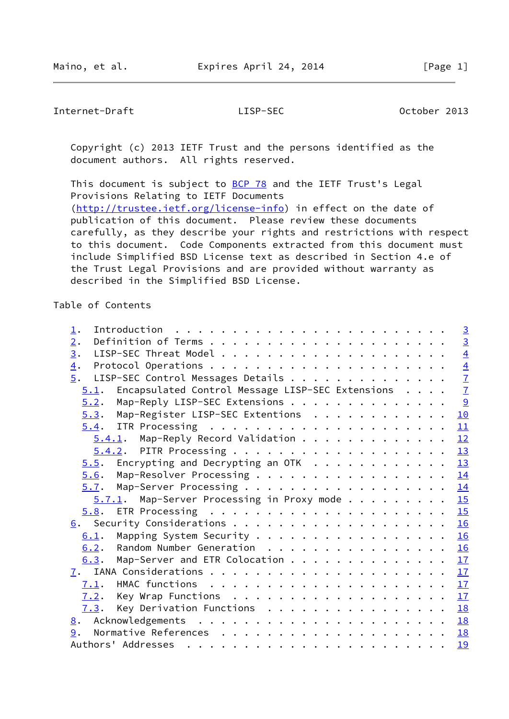Internet-Draft LISP-SEC October 2013

 Copyright (c) 2013 IETF Trust and the persons identified as the document authors. All rights reserved.

This document is subject to **[BCP 78](https://datatracker.ietf.org/doc/pdf/bcp78)** and the IETF Trust's Legal Provisions Relating to IETF Documents [\(http://trustee.ietf.org/license-info](http://trustee.ietf.org/license-info)) in effect on the date of publication of this document. Please review these documents carefully, as they describe your rights and restrictions with respect to this document. Code Components extracted from this document must include Simplified BSD License text as described in Section 4.e of the Trust Legal Provisions and are provided without warranty as described in the Simplified BSD License.

### Table of Contents

| 1.                                                                 |  | $\overline{3}$ |
|--------------------------------------------------------------------|--|----------------|
| 2.                                                                 |  |                |
| 3.                                                                 |  | $rac{3}{4}$    |
| $\overline{4}$ .                                                   |  |                |
| LISP-SEC Control Messages Details<br>$\overline{5}$ .              |  | $\frac{4}{7}$  |
| Encapsulated Control Message LISP-SEC Extensions<br>5.1.           |  |                |
| Map-Reply LISP-SEC Extensions<br>5.2.                              |  | $\overline{9}$ |
| Map-Register LISP-SEC Extentions<br>5.3.                           |  | 10             |
|                                                                    |  | 11             |
| $5.4.1$ . Map-Reply Record Validation                              |  | 12             |
| 5.4.2. PITR Processing 13                                          |  |                |
| Encrypting and Decrypting an OTK $\dots \dots \dots \dots$<br>5.5. |  | 13             |
| Map-Resolver Processing<br>5.6.                                    |  | 14             |
| 5.7.                                                               |  | 14             |
| Map-Server Processing in Proxy mode<br>5.7.1.                      |  | 15             |
|                                                                    |  |                |
|                                                                    |  | 16             |
| Mapping System Security 16<br>6.1.                                 |  |                |
| 6.2. Random Number Generation                                      |  | 16             |
| Map-Server and ETR Colocation $\frac{17}{2}$<br>6.3.               |  |                |
|                                                                    |  |                |
| 7.1.                                                               |  | 17             |
| Key Wrap Functions 17<br>7.2.                                      |  |                |
| Key Derivation Functions<br>7.3.                                   |  | 18             |
| 8.                                                                 |  | 18             |
| 9.                                                                 |  | 18             |
|                                                                    |  | 19             |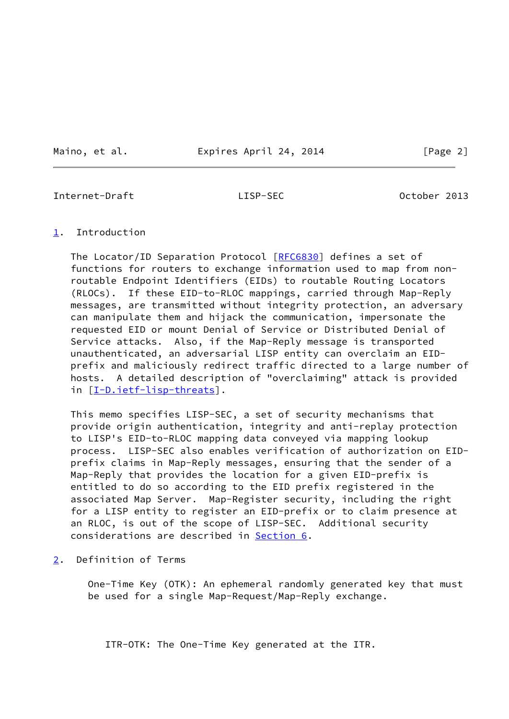Maino, et al. **Expires April 24, 2014** [Page 2]

<span id="page-2-1"></span>Internet-Draft LISP-SEC October 2013

### <span id="page-2-0"></span>[1](#page-2-0). Introduction

The Locator/ID Separation Protocol [[RFC6830\]](https://datatracker.ietf.org/doc/pdf/rfc6830) defines a set of functions for routers to exchange information used to map from non routable Endpoint Identifiers (EIDs) to routable Routing Locators (RLOCs). If these EID-to-RLOC mappings, carried through Map-Reply messages, are transmitted without integrity protection, an adversary can manipulate them and hijack the communication, impersonate the requested EID or mount Denial of Service or Distributed Denial of Service attacks. Also, if the Map-Reply message is transported unauthenticated, an adversarial LISP entity can overclaim an EID prefix and maliciously redirect traffic directed to a large number of hosts. A detailed description of "overclaiming" attack is provided in [[I-D.ietf-lisp-threats\]](#page-19-4).

 This memo specifies LISP-SEC, a set of security mechanisms that provide origin authentication, integrity and anti-replay protection to LISP's EID-to-RLOC mapping data conveyed via mapping lookup process. LISP-SEC also enables verification of authorization on EID prefix claims in Map-Reply messages, ensuring that the sender of a Map-Reply that provides the location for a given EID-prefix is entitled to do so according to the EID prefix registered in the associated Map Server. Map-Register security, including the right for a LISP entity to register an EID-prefix or to claim presence at an RLOC, is out of the scope of LISP-SEC. Additional security considerations are described in [Section 6](#page-17-0).

<span id="page-2-2"></span>[2](#page-2-2). Definition of Terms

 One-Time Key (OTK): An ephemeral randomly generated key that must be used for a single Map-Request/Map-Reply exchange.

ITR-OTK: The One-Time Key generated at the ITR.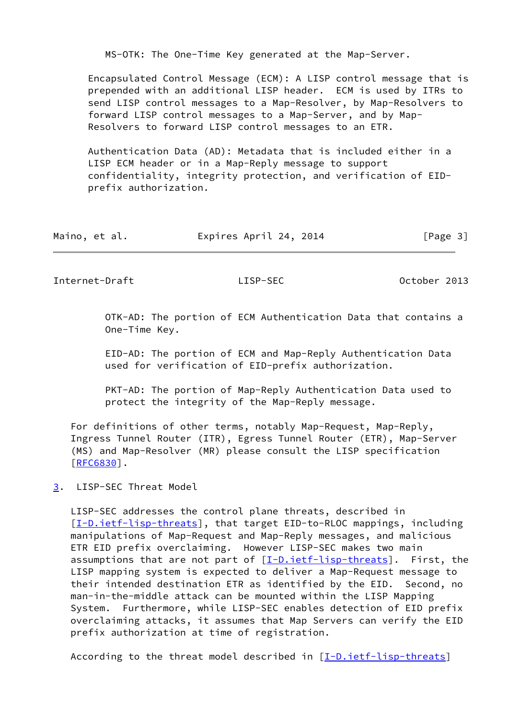MS-OTK: The One-Time Key generated at the Map-Server.

 Encapsulated Control Message (ECM): A LISP control message that is prepended with an additional LISP header. ECM is used by ITRs to send LISP control messages to a Map-Resolver, by Map-Resolvers to forward LISP control messages to a Map-Server, and by Map- Resolvers to forward LISP control messages to an ETR.

 Authentication Data (AD): Metadata that is included either in a LISP ECM header or in a Map-Reply message to support confidentiality, integrity protection, and verification of EID prefix authorization.

| Maino, et al. | Expires April 24, 2014 | [Page 3] |
|---------------|------------------------|----------|
|---------------|------------------------|----------|

<span id="page-3-1"></span>Internet-Draft LISP-SEC October 2013

 OTK-AD: The portion of ECM Authentication Data that contains a One-Time Key.

 EID-AD: The portion of ECM and Map-Reply Authentication Data used for verification of EID-prefix authorization.

 PKT-AD: The portion of Map-Reply Authentication Data used to protect the integrity of the Map-Reply message.

 For definitions of other terms, notably Map-Request, Map-Reply, Ingress Tunnel Router (ITR), Egress Tunnel Router (ETR), Map-Server (MS) and Map-Resolver (MR) please consult the LISP specification [\[RFC6830](https://datatracker.ietf.org/doc/pdf/rfc6830)].

<span id="page-3-0"></span>[3](#page-3-0). LISP-SEC Threat Model

 LISP-SEC addresses the control plane threats, described in [\[I-D.ietf-lisp-threats](#page-19-4)], that target EID-to-RLOC mappings, including manipulations of Map-Request and Map-Reply messages, and malicious ETR EID prefix overclaiming. However LISP-SEC makes two main assumptions that are not part of  $[I-D.ietf-lisp-threats]$ . First, the LISP mapping system is expected to deliver a Map-Request message to their intended destination ETR as identified by the EID. Second, no man-in-the-middle attack can be mounted within the LISP Mapping System. Furthermore, while LISP-SEC enables detection of EID prefix overclaiming attacks, it assumes that Map Servers can verify the EID prefix authorization at time of registration.

According to the threat model described in  $[I-D.ietf-lisp-threats]$  $[I-D.ietf-lisp-threats]$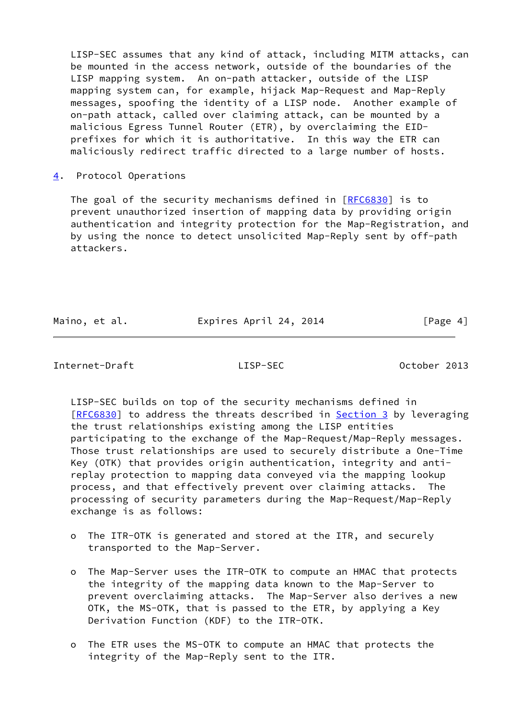LISP-SEC assumes that any kind of attack, including MITM attacks, can be mounted in the access network, outside of the boundaries of the LISP mapping system. An on-path attacker, outside of the LISP mapping system can, for example, hijack Map-Request and Map-Reply messages, spoofing the identity of a LISP node. Another example of on-path attack, called over claiming attack, can be mounted by a malicious Egress Tunnel Router (ETR), by overclaiming the EID prefixes for which it is authoritative. In this way the ETR can maliciously redirect traffic directed to a large number of hosts.

<span id="page-4-0"></span>[4](#page-4-0). Protocol Operations

The goal of the security mechanisms defined in [\[RFC6830](https://datatracker.ietf.org/doc/pdf/rfc6830)] is to prevent unauthorized insertion of mapping data by providing origin authentication and integrity protection for the Map-Registration, and by using the nonce to detect unsolicited Map-Reply sent by off-path attackers.

Maino, et al. **Expires April 24, 2014** [Page 4]

Internet-Draft LISP-SEC October 2013

 LISP-SEC builds on top of the security mechanisms defined in [\[RFC6830](https://datatracker.ietf.org/doc/pdf/rfc6830)] to address the threats described in **Section 3** by leveraging the trust relationships existing among the LISP entities participating to the exchange of the Map-Request/Map-Reply messages. Those trust relationships are used to securely distribute a One-Time Key (OTK) that provides origin authentication, integrity and anti replay protection to mapping data conveyed via the mapping lookup process, and that effectively prevent over claiming attacks. The processing of security parameters during the Map-Request/Map-Reply exchange is as follows:

- o The ITR-OTK is generated and stored at the ITR, and securely transported to the Map-Server.
- o The Map-Server uses the ITR-OTK to compute an HMAC that protects the integrity of the mapping data known to the Map-Server to prevent overclaiming attacks. The Map-Server also derives a new OTK, the MS-OTK, that is passed to the ETR, by applying a Key Derivation Function (KDF) to the ITR-OTK.
- o The ETR uses the MS-OTK to compute an HMAC that protects the integrity of the Map-Reply sent to the ITR.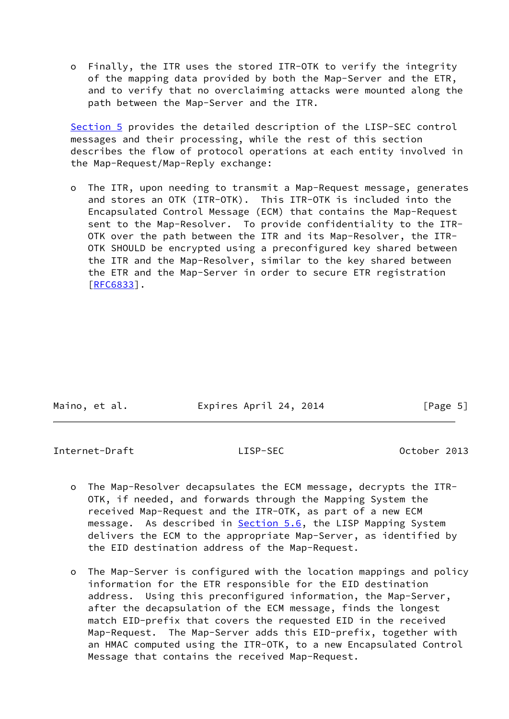o Finally, the ITR uses the stored ITR-OTK to verify the integrity of the mapping data provided by both the Map-Server and the ETR, and to verify that no overclaiming attacks were mounted along the path between the Map-Server and the ITR.

 [Section 5](#page-6-0) provides the detailed description of the LISP-SEC control messages and their processing, while the rest of this section describes the flow of protocol operations at each entity involved in the Map-Request/Map-Reply exchange:

 o The ITR, upon needing to transmit a Map-Request message, generates and stores an OTK (ITR-OTK). This ITR-OTK is included into the Encapsulated Control Message (ECM) that contains the Map-Request sent to the Map-Resolver. To provide confidentiality to the ITR- OTK over the path between the ITR and its Map-Resolver, the ITR- OTK SHOULD be encrypted using a preconfigured key shared between the ITR and the Map-Resolver, similar to the key shared between the ETR and the Map-Server in order to secure ETR registration [[RFC6833\]](https://datatracker.ietf.org/doc/pdf/rfc6833).

| Maino, et al. | Expires April 24, 2014 | [Page 5] |
|---------------|------------------------|----------|

Internet-Draft LISP-SEC October 2013

- o The Map-Resolver decapsulates the ECM message, decrypts the ITR- OTK, if needed, and forwards through the Mapping System the received Map-Request and the ITR-OTK, as part of a new ECM message. As described in **Section 5.6**, the LISP Mapping System delivers the ECM to the appropriate Map-Server, as identified by the EID destination address of the Map-Request.
- o The Map-Server is configured with the location mappings and policy information for the ETR responsible for the EID destination address. Using this preconfigured information, the Map-Server, after the decapsulation of the ECM message, finds the longest match EID-prefix that covers the requested EID in the received Map-Request. The Map-Server adds this EID-prefix, together with an HMAC computed using the ITR-OTK, to a new Encapsulated Control Message that contains the received Map-Request.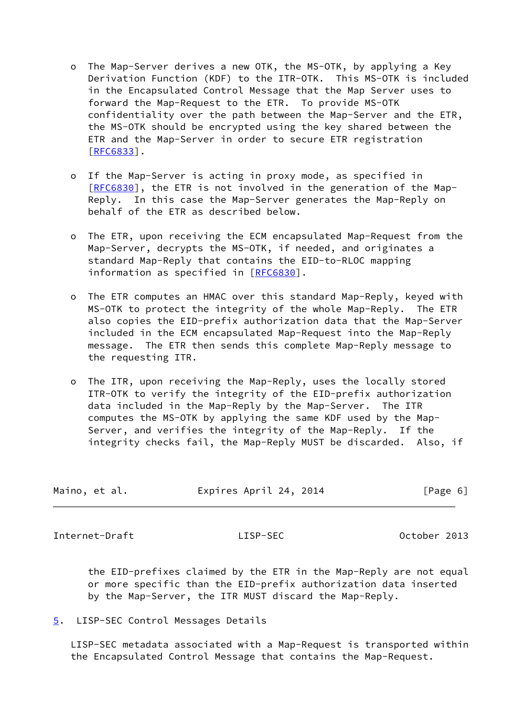- o The Map-Server derives a new OTK, the MS-OTK, by applying a Key Derivation Function (KDF) to the ITR-OTK. This MS-OTK is included in the Encapsulated Control Message that the Map Server uses to forward the Map-Request to the ETR. To provide MS-OTK confidentiality over the path between the Map-Server and the ETR, the MS-OTK should be encrypted using the key shared between the ETR and the Map-Server in order to secure ETR registration [[RFC6833\]](https://datatracker.ietf.org/doc/pdf/rfc6833).
- o If the Map-Server is acting in proxy mode, as specified in [[RFC6830\]](https://datatracker.ietf.org/doc/pdf/rfc6830), the ETR is not involved in the generation of the Map- Reply. In this case the Map-Server generates the Map-Reply on behalf of the ETR as described below.
- o The ETR, upon receiving the ECM encapsulated Map-Request from the Map-Server, decrypts the MS-OTK, if needed, and originates a standard Map-Reply that contains the EID-to-RLOC mapping information as specified in [\[RFC6830](https://datatracker.ietf.org/doc/pdf/rfc6830)].
- o The ETR computes an HMAC over this standard Map-Reply, keyed with MS-OTK to protect the integrity of the whole Map-Reply. The ETR also copies the EID-prefix authorization data that the Map-Server included in the ECM encapsulated Map-Request into the Map-Reply message. The ETR then sends this complete Map-Reply message to the requesting ITR.
- o The ITR, upon receiving the Map-Reply, uses the locally stored ITR-OTK to verify the integrity of the EID-prefix authorization data included in the Map-Reply by the Map-Server. The ITR computes the MS-OTK by applying the same KDF used by the Map- Server, and verifies the integrity of the Map-Reply. If the integrity checks fail, the Map-Reply MUST be discarded. Also, if

| Maino, et al. | Expires April 24, 2014 | [Page 6] |
|---------------|------------------------|----------|
|               |                        |          |

<span id="page-6-1"></span>Internet-Draft LISP-SEC October 2013

 the EID-prefixes claimed by the ETR in the Map-Reply are not equal or more specific than the EID-prefix authorization data inserted by the Map-Server, the ITR MUST discard the Map-Reply.

<span id="page-6-0"></span>[5](#page-6-0). LISP-SEC Control Messages Details

 LISP-SEC metadata associated with a Map-Request is transported within the Encapsulated Control Message that contains the Map-Request.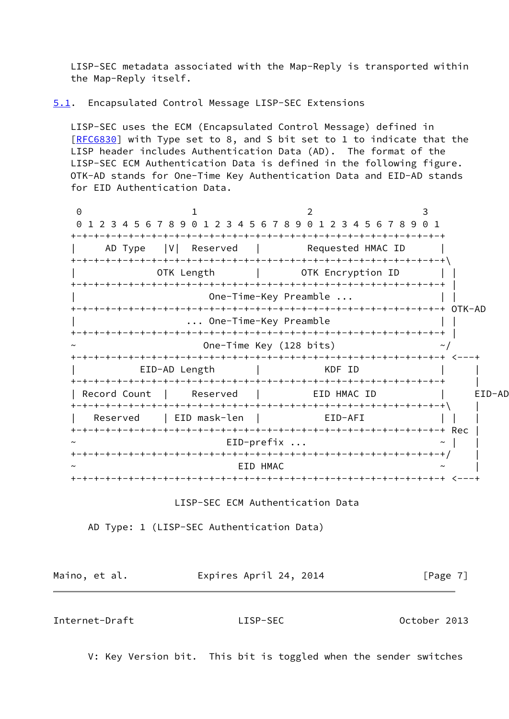LISP-SEC metadata associated with the Map-Reply is transported within the Map-Reply itself.

<span id="page-7-0"></span>[5.1](#page-7-0). Encapsulated Control Message LISP-SEC Extensions

 LISP-SEC uses the ECM (Encapsulated Control Message) defined in [\[RFC6830](https://datatracker.ietf.org/doc/pdf/rfc6830)] with Type set to 8, and S bit set to 1 to indicate that the LISP header includes Authentication Data (AD). The format of the LISP-SEC ECM Authentication Data is defined in the following figure. OTK-AD stands for One-Time Key Authentication Data and EID-AD stands for EID Authentication Data.

0 1 2 3 0 1 2 3 4 5 6 7 8 9 0 1 2 3 4 5 6 7 8 9 0 1 2 3 4 5 6 7 8 9 0 1 +-+-+-+-+-+-+-+-+-+-+-+-+-+-+-+-+-+-+-+-+-+-+-+-+-+-+-+-+-+-+-+-+ AD Type |V| Reserved | Requested HMAC ID +-+-+-+-+-+-+-+-+-+-+-+-+-+-+-+-+-+-+-+-+-+-+-+-+-+-+-+-+-+-+-+-+\ OTK Length | OTK Encryption ID | | +-+-+-+-+-+-+-+-+-+-+-+-+-+-+-+-+-+-+-+-+-+-+-+-+-+-+-+-+-+-+-+-+ | One-Time-Key Preamble ... +-+-+-+-+-+-+-+-+-+-+-+-+-+-+-+-+-+-+-+-+-+-+-+-+-+-+-+-+-+-+-+-+ OTK-AD ... One-Time-Key Preamble +-+-+-+-+-+-+-+-+-+-+-+-+-+-+-+-+-+-+-+-+-+-+-+-+-+-+-+-+-+-+-+-+ | One-Time Key (128 bits)  $\sim/$  +-+-+-+-+-+-+-+-+-+-+-+-+-+-+-+-+-+-+-+-+-+-+-+-+-+-+-+-+-+-+-+-+ <---+ | EID-AD Length | KDF ID | | +-+-+-+-+-+-+-+-+-+-+-+-+-+-+-+-+-+-+-+-+-+-+-+-+-+-+-+-+-+-+-+-+ | | Record Count | Reserved | EID HMAC ID | EID-AD +-+-+-+-+-+-+-+-+-+-+-+-+-+-+-+-+-+-+-+-+-+-+-+-+-+-+-+-+-+-+-+-+\ | Reserved | EID mask-len | EID-AFI | | +-+-+-+-+-+-+-+-+-+-+-+-+-+-+-+-+-+-+-+-+-+-+-+-+-+-+-+-+-+-+-+-+ Rec |  $EID-prefix ...$   $\sim$  | +-+-+-+-+-+-+-+-+-+-+-+-+-+-+-+-+-+-+-+-+-+-+-+-+-+-+-+-+-+-+-+-+/ |  $EID$   $HMAC$ +-+-+-+-+-+-+-+-+-+-+-+-+-+-+-+-+-+-+-+-+-+-+-+-+-+-+-+-+-+-+-+-+ <---+

LISP-SEC ECM Authentication Data

AD Type: 1 (LISP-SEC Authentication Data)

Maino, et al. **Expires April 24, 2014** [Page 7]

Internet-Draft LISP-SEC October 2013

V: Key Version bit. This bit is toggled when the sender switches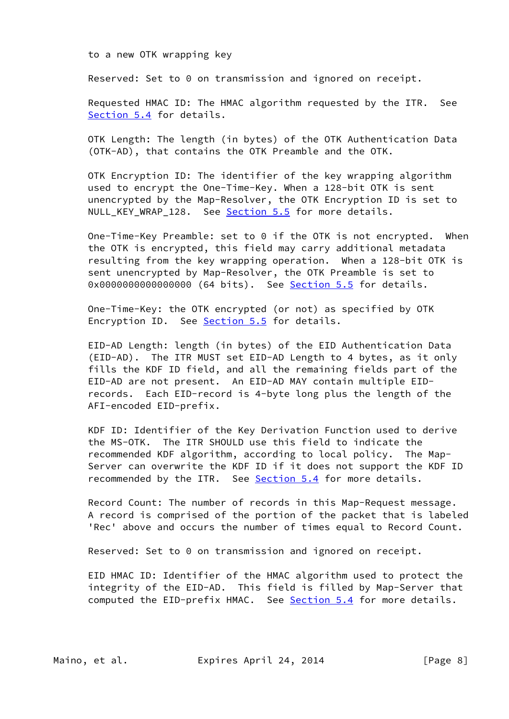to a new OTK wrapping key

Reserved: Set to 0 on transmission and ignored on receipt.

 Requested HMAC ID: The HMAC algorithm requested by the ITR. See [Section 5.4](#page-11-0) for details.

 OTK Length: The length (in bytes) of the OTK Authentication Data (OTK-AD), that contains the OTK Preamble and the OTK.

 OTK Encryption ID: The identifier of the key wrapping algorithm used to encrypt the One-Time-Key. When a 128-bit OTK is sent unencrypted by the Map-Resolver, the OTK Encryption ID is set to NULL\_KEY\_WRAP\_128. See [Section 5.5](#page-14-1) for more details.

 One-Time-Key Preamble: set to 0 if the OTK is not encrypted. When the OTK is encrypted, this field may carry additional metadata resulting from the key wrapping operation. When a 128-bit OTK is sent unencrypted by Map-Resolver, the OTK Preamble is set to 0x0000000000000000 (64 bits). See [Section 5.5](#page-14-1) for details.

 One-Time-Key: the OTK encrypted (or not) as specified by OTK Encryption ID. See [Section 5.5](#page-14-1) for details.

 EID-AD Length: length (in bytes) of the EID Authentication Data (EID-AD). The ITR MUST set EID-AD Length to 4 bytes, as it only fills the KDF ID field, and all the remaining fields part of the EID-AD are not present. An EID-AD MAY contain multiple EID records. Each EID-record is 4-byte long plus the length of the AFI-encoded EID-prefix.

 KDF ID: Identifier of the Key Derivation Function used to derive the MS-OTK. The ITR SHOULD use this field to indicate the recommended KDF algorithm, according to local policy. The Map- Server can overwrite the KDF ID if it does not support the KDF ID recommended by the ITR. See **Section 5.4** for more details.

 Record Count: The number of records in this Map-Request message. A record is comprised of the portion of the packet that is labeled 'Rec' above and occurs the number of times equal to Record Count.

Reserved: Set to 0 on transmission and ignored on receipt.

 EID HMAC ID: Identifier of the HMAC algorithm used to protect the integrity of the EID-AD. This field is filled by Map-Server that computed the EID-prefix HMAC. See [Section 5.4](#page-11-0) for more details.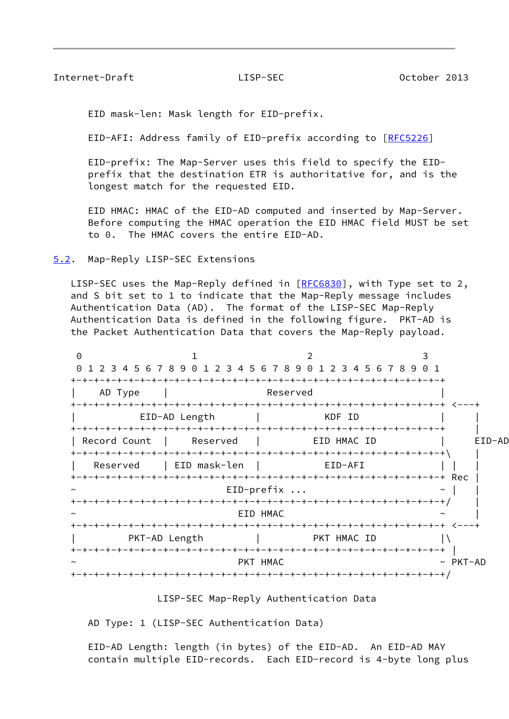## <span id="page-9-1"></span>Internet-Draft LISP-SEC October 2013

EID mask-len: Mask length for EID-prefix.

EID-AFI: Address family of EID-prefix according to [[RFC5226](https://datatracker.ietf.org/doc/pdf/rfc5226)]

 EID-prefix: The Map-Server uses this field to specify the EID prefix that the destination ETR is authoritative for, and is the longest match for the requested EID.

 EID HMAC: HMAC of the EID-AD computed and inserted by Map-Server. Before computing the HMAC operation the EID HMAC field MUST be set to 0. The HMAC covers the entire EID-AD.

<span id="page-9-0"></span>[5.2](#page-9-0). Map-Reply LISP-SEC Extensions

LISP-SEC uses the Map-Reply defined in [\[RFC6830](https://datatracker.ietf.org/doc/pdf/rfc6830)], with Type set to 2, and S bit set to 1 to indicate that the Map-Reply message includes Authentication Data (AD). The format of the LISP-SEC Map-Reply Authentication Data is defined in the following figure. PKT-AD is the Packet Authentication Data that covers the Map-Reply payload.



### LISP-SEC Map-Reply Authentication Data

AD Type: 1 (LISP-SEC Authentication Data)

 EID-AD Length: length (in bytes) of the EID-AD. An EID-AD MAY contain multiple EID-records. Each EID-record is 4-byte long plus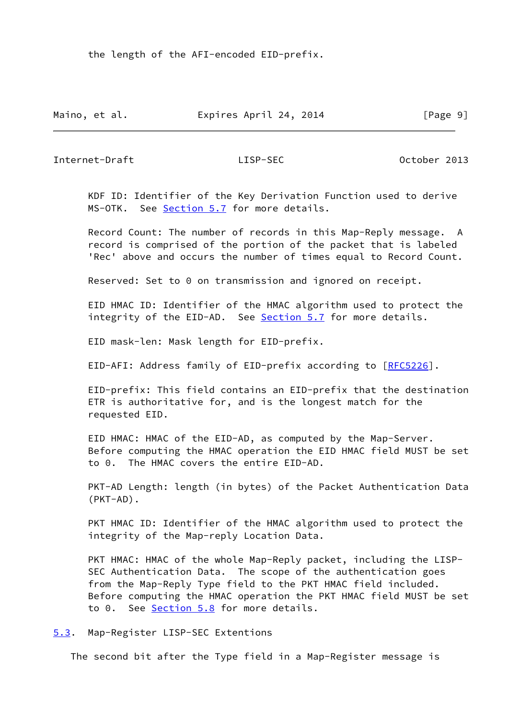the length of the AFI-encoded EID-prefix.

Maino, et al. **Expires April 24, 2014** [Page 9]

<span id="page-10-1"></span>Internet-Draft LISP-SEC October 2013

 KDF ID: Identifier of the Key Derivation Function used to derive MS-OTK. See [Section 5.7](#page-15-1) for more details.

 Record Count: The number of records in this Map-Reply message. A record is comprised of the portion of the packet that is labeled 'Rec' above and occurs the number of times equal to Record Count.

Reserved: Set to 0 on transmission and ignored on receipt.

 EID HMAC ID: Identifier of the HMAC algorithm used to protect the integrity of the EID-AD. See [Section 5.7](#page-15-1) for more details.

EID mask-len: Mask length for EID-prefix.

EID-AFI: Address family of EID-prefix according to [[RFC5226](https://datatracker.ietf.org/doc/pdf/rfc5226)].

 EID-prefix: This field contains an EID-prefix that the destination ETR is authoritative for, and is the longest match for the requested EID.

 EID HMAC: HMAC of the EID-AD, as computed by the Map-Server. Before computing the HMAC operation the EID HMAC field MUST be set to 0. The HMAC covers the entire EID-AD.

 PKT-AD Length: length (in bytes) of the Packet Authentication Data (PKT-AD).

PKT HMAC ID: Identifier of the HMAC algorithm used to protect the integrity of the Map-reply Location Data.

 PKT HMAC: HMAC of the whole Map-Reply packet, including the LISP- SEC Authentication Data. The scope of the authentication goes from the Map-Reply Type field to the PKT HMAC field included. Before computing the HMAC operation the PKT HMAC field MUST be set to 0. See [Section 5.8](#page-16-1) for more details.

<span id="page-10-0"></span>[5.3](#page-10-0). Map-Register LISP-SEC Extentions

The second bit after the Type field in a Map-Register message is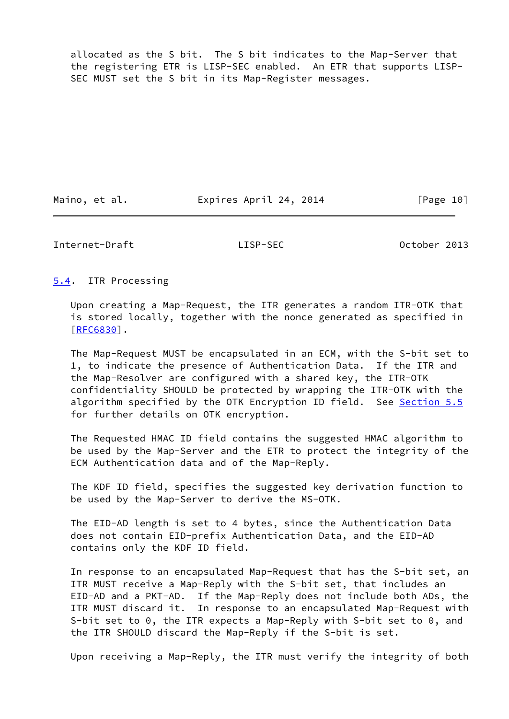allocated as the S bit. The S bit indicates to the Map-Server that the registering ETR is LISP-SEC enabled. An ETR that supports LISP- SEC MUST set the S bit in its Map-Register messages.

Maino, et al. **Expires April 24, 2014** [Page 10]

<span id="page-11-1"></span>Internet-Draft LISP-SEC October 2013

<span id="page-11-0"></span>[5.4](#page-11-0). ITR Processing

 Upon creating a Map-Request, the ITR generates a random ITR-OTK that is stored locally, together with the nonce generated as specified in [\[RFC6830](https://datatracker.ietf.org/doc/pdf/rfc6830)].

 The Map-Request MUST be encapsulated in an ECM, with the S-bit set to 1, to indicate the presence of Authentication Data. If the ITR and the Map-Resolver are configured with a shared key, the ITR-OTK confidentiality SHOULD be protected by wrapping the ITR-OTK with the algorithm specified by the OTK Encryption ID field. See [Section 5.5](#page-14-1) for further details on OTK encryption.

 The Requested HMAC ID field contains the suggested HMAC algorithm to be used by the Map-Server and the ETR to protect the integrity of the ECM Authentication data and of the Map-Reply.

 The KDF ID field, specifies the suggested key derivation function to be used by the Map-Server to derive the MS-OTK.

 The EID-AD length is set to 4 bytes, since the Authentication Data does not contain EID-prefix Authentication Data, and the EID-AD contains only the KDF ID field.

 In response to an encapsulated Map-Request that has the S-bit set, an ITR MUST receive a Map-Reply with the S-bit set, that includes an EID-AD and a PKT-AD. If the Map-Reply does not include both ADs, the ITR MUST discard it. In response to an encapsulated Map-Request with S-bit set to 0, the ITR expects a Map-Reply with S-bit set to 0, and the ITR SHOULD discard the Map-Reply if the S-bit is set.

Upon receiving a Map-Reply, the ITR must verify the integrity of both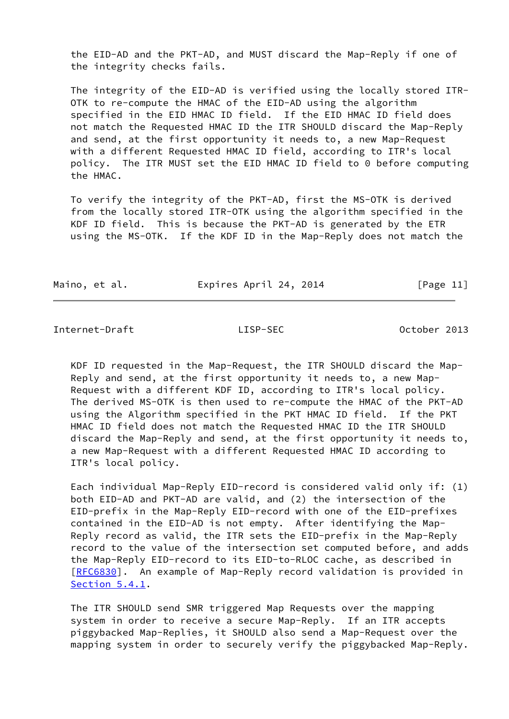the EID-AD and the PKT-AD, and MUST discard the Map-Reply if one of the integrity checks fails.

 The integrity of the EID-AD is verified using the locally stored ITR- OTK to re-compute the HMAC of the EID-AD using the algorithm specified in the EID HMAC ID field. If the EID HMAC ID field does not match the Requested HMAC ID the ITR SHOULD discard the Map-Reply and send, at the first opportunity it needs to, a new Map-Request with a different Requested HMAC ID field, according to ITR's local policy. The ITR MUST set the EID HMAC ID field to 0 before computing the HMAC.

 To verify the integrity of the PKT-AD, first the MS-OTK is derived from the locally stored ITR-OTK using the algorithm specified in the KDF ID field. This is because the PKT-AD is generated by the ETR using the MS-OTK. If the KDF ID in the Map-Reply does not match the

Maino, et al. **Expires April 24, 2014** [Page 11]

<span id="page-12-0"></span>Internet-Draft LISP-SEC October 2013

 KDF ID requested in the Map-Request, the ITR SHOULD discard the Map- Reply and send, at the first opportunity it needs to, a new Map- Request with a different KDF ID, according to ITR's local policy. The derived MS-OTK is then used to re-compute the HMAC of the PKT-AD using the Algorithm specified in the PKT HMAC ID field. If the PKT HMAC ID field does not match the Requested HMAC ID the ITR SHOULD discard the Map-Reply and send, at the first opportunity it needs to, a new Map-Request with a different Requested HMAC ID according to ITR's local policy.

 Each individual Map-Reply EID-record is considered valid only if: (1) both EID-AD and PKT-AD are valid, and (2) the intersection of the EID-prefix in the Map-Reply EID-record with one of the EID-prefixes contained in the EID-AD is not empty. After identifying the Map- Reply record as valid, the ITR sets the EID-prefix in the Map-Reply record to the value of the intersection set computed before, and adds the Map-Reply EID-record to its EID-to-RLOC cache, as described in [\[RFC6830](https://datatracker.ietf.org/doc/pdf/rfc6830)]. An example of Map-Reply record validation is provided in [Section 5.4.1](#page-13-0).

 The ITR SHOULD send SMR triggered Map Requests over the mapping system in order to receive a secure Map-Reply. If an ITR accepts piggybacked Map-Replies, it SHOULD also send a Map-Request over the mapping system in order to securely verify the piggybacked Map-Reply.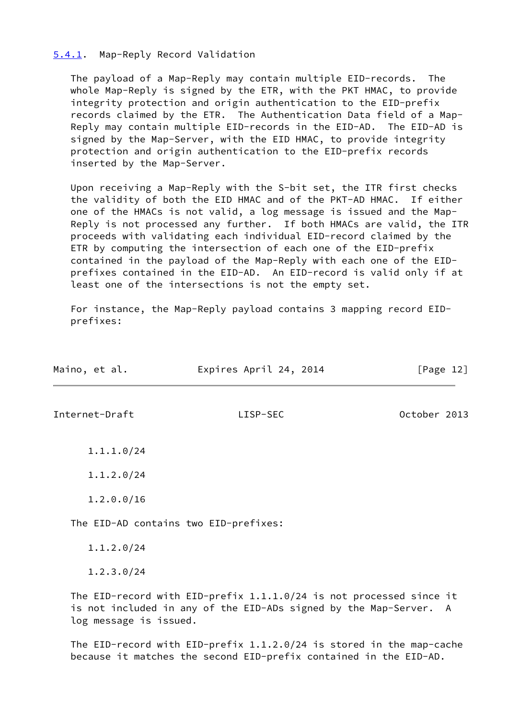# <span id="page-13-0"></span>[5.4.1](#page-13-0). Map-Reply Record Validation

 The payload of a Map-Reply may contain multiple EID-records. The whole Map-Reply is signed by the ETR, with the PKT HMAC, to provide integrity protection and origin authentication to the EID-prefix records claimed by the ETR. The Authentication Data field of a Map- Reply may contain multiple EID-records in the EID-AD. The EID-AD is signed by the Map-Server, with the EID HMAC, to provide integrity protection and origin authentication to the EID-prefix records inserted by the Map-Server.

 Upon receiving a Map-Reply with the S-bit set, the ITR first checks the validity of both the EID HMAC and of the PKT-AD HMAC. If either one of the HMACs is not valid, a log message is issued and the Map- Reply is not processed any further. If both HMACs are valid, the ITR proceeds with validating each individual EID-record claimed by the ETR by computing the intersection of each one of the EID-prefix contained in the payload of the Map-Reply with each one of the EID prefixes contained in the EID-AD. An EID-record is valid only if at least one of the intersections is not the empty set.

 For instance, the Map-Reply payload contains 3 mapping record EID prefixes:

<span id="page-13-1"></span>

| Maino, et al.  | Expires April 24, 2014                                              | [Page $12$ ] |
|----------------|---------------------------------------------------------------------|--------------|
| Internet-Draft | LISP-SEC                                                            | October 2013 |
| 1.1.1.0/24     |                                                                     |              |
| 1.1.2.0/24     |                                                                     |              |
| 1.2.0.0/16     |                                                                     |              |
|                | The EID-AD contains two EID-prefixes:                               |              |
| 1.1.2.0/24     |                                                                     |              |
| 1.2.3.0/24     |                                                                     |              |
|                | The EID-record with EID-prefix 1.1.1.0/24 is not processed since it |              |

 is not included in any of the EID-ADs signed by the Map-Server. A log message is issued.

 The EID-record with EID-prefix 1.1.2.0/24 is stored in the map-cache because it matches the second EID-prefix contained in the EID-AD.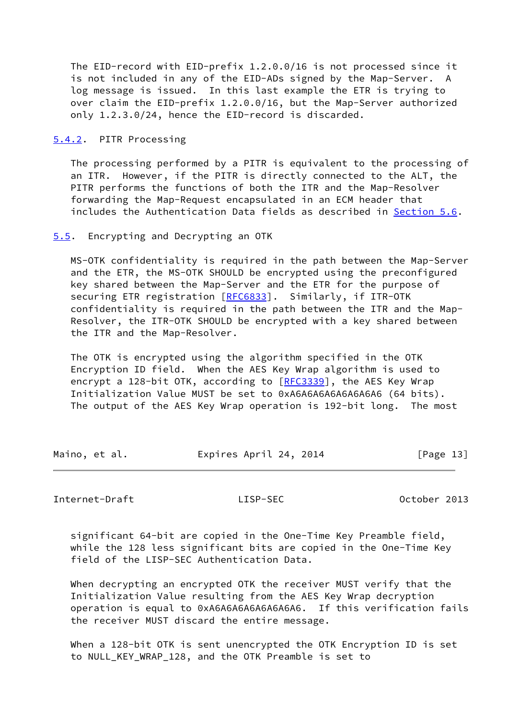The EID-record with EID-prefix 1.2.0.0/16 is not processed since it is not included in any of the EID-ADs signed by the Map-Server. A log message is issued. In this last example the ETR is trying to over claim the EID-prefix 1.2.0.0/16, but the Map-Server authorized only 1.2.3.0/24, hence the EID-record is discarded.

<span id="page-14-0"></span>[5.4.2](#page-14-0). PITR Processing

 The processing performed by a PITR is equivalent to the processing of an ITR. However, if the PITR is directly connected to the ALT, the PITR performs the functions of both the ITR and the Map-Resolver forwarding the Map-Request encapsulated in an ECM header that includes the Authentication Data fields as described in [Section 5.6](#page-15-0).

# <span id="page-14-1"></span>[5.5](#page-14-1). Encrypting and Decrypting an OTK

 MS-OTK confidentiality is required in the path between the Map-Server and the ETR, the MS-OTK SHOULD be encrypted using the preconfigured key shared between the Map-Server and the ETR for the purpose of securing ETR registration [[RFC6833](https://datatracker.ietf.org/doc/pdf/rfc6833)]. Similarly, if ITR-OTK confidentiality is required in the path between the ITR and the Map- Resolver, the ITR-OTK SHOULD be encrypted with a key shared between the ITR and the Map-Resolver.

 The OTK is encrypted using the algorithm specified in the OTK Encryption ID field. When the AES Key Wrap algorithm is used to encrypt a 128-bit OTK, according to [\[RFC3339](https://datatracker.ietf.org/doc/pdf/rfc3339)], the AES Key Wrap Initialization Value MUST be set to 0xA6A6A6A6A6A6A6A6 (64 bits). The output of the AES Key Wrap operation is 192-bit long. The most

| Maino, et al. | Expires April 24, 2014 | [Page 13] |
|---------------|------------------------|-----------|
|               |                        |           |

<span id="page-14-2"></span>Internet-Draft LISP-SEC October 2013

 significant 64-bit are copied in the One-Time Key Preamble field, while the 128 less significant bits are copied in the One-Time Key field of the LISP-SEC Authentication Data.

 When decrypting an encrypted OTK the receiver MUST verify that the Initialization Value resulting from the AES Key Wrap decryption operation is equal to 0xA6A6A6A6A6A6A6A6. If this verification fails the receiver MUST discard the entire message.

 When a 128-bit OTK is sent unencrypted the OTK Encryption ID is set to NULL\_KEY\_WRAP\_128, and the OTK Preamble is set to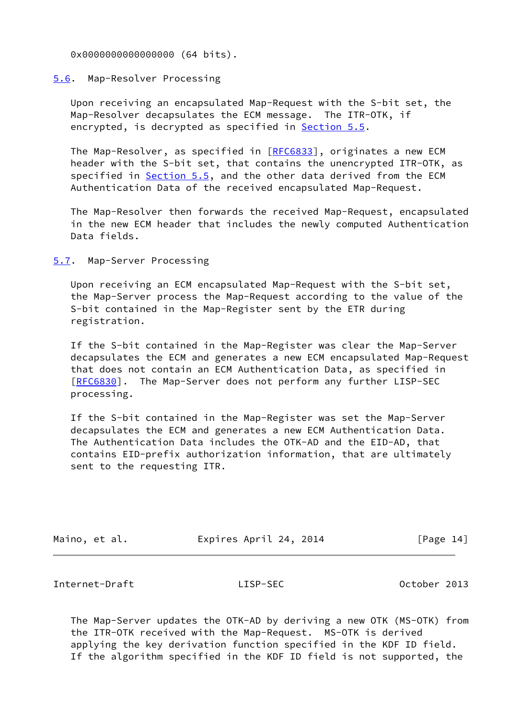0x0000000000000000 (64 bits).

## <span id="page-15-0"></span>[5.6](#page-15-0). Map-Resolver Processing

 Upon receiving an encapsulated Map-Request with the S-bit set, the Map-Resolver decapsulates the ECM message. The ITR-OTK, if encrypted, is decrypted as specified in [Section 5.5](#page-14-1).

The Map-Resolver, as specified in [[RFC6833](https://datatracker.ietf.org/doc/pdf/rfc6833)], originates a new ECM header with the S-bit set, that contains the unencrypted ITR-OTK, as specified in [Section 5.5](#page-14-1), and the other data derived from the ECM Authentication Data of the received encapsulated Map-Request.

 The Map-Resolver then forwards the received Map-Request, encapsulated in the new ECM header that includes the newly computed Authentication Data fields.

<span id="page-15-1"></span>[5.7](#page-15-1). Map-Server Processing

 Upon receiving an ECM encapsulated Map-Request with the S-bit set, the Map-Server process the Map-Request according to the value of the S-bit contained in the Map-Register sent by the ETR during registration.

 If the S-bit contained in the Map-Register was clear the Map-Server decapsulates the ECM and generates a new ECM encapsulated Map-Request that does not contain an ECM Authentication Data, as specified in [\[RFC6830](https://datatracker.ietf.org/doc/pdf/rfc6830)]. The Map-Server does not perform any further LISP-SEC processing.

 If the S-bit contained in the Map-Register was set the Map-Server decapsulates the ECM and generates a new ECM Authentication Data. The Authentication Data includes the OTK-AD and the EID-AD, that contains EID-prefix authorization information, that are ultimately sent to the requesting ITR.

| Maino, et al. | Expires April 24, 2014 | [Page 14] |
|---------------|------------------------|-----------|
|               |                        |           |

<span id="page-15-2"></span>Internet-Draft LISP-SEC October 2013

 The Map-Server updates the OTK-AD by deriving a new OTK (MS-OTK) from the ITR-OTK received with the Map-Request. MS-OTK is derived applying the key derivation function specified in the KDF ID field. If the algorithm specified in the KDF ID field is not supported, the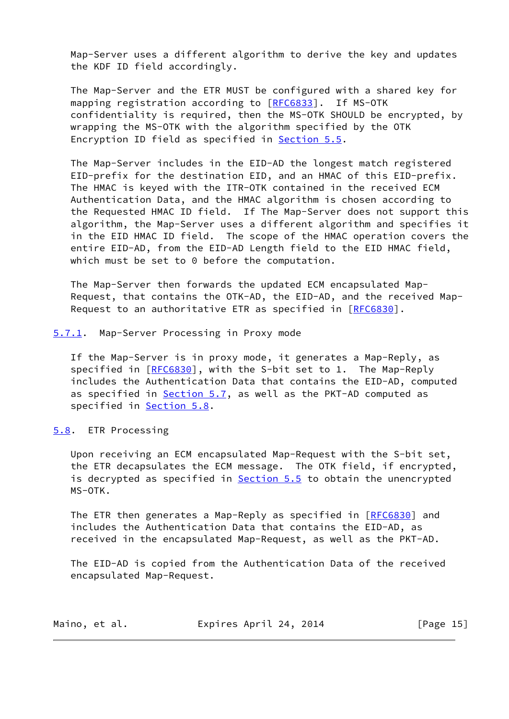Map-Server uses a different algorithm to derive the key and updates the KDF ID field accordingly.

 The Map-Server and the ETR MUST be configured with a shared key for mapping registration according to [[RFC6833](https://datatracker.ietf.org/doc/pdf/rfc6833)]. If MS-OTK confidentiality is required, then the MS-OTK SHOULD be encrypted, by wrapping the MS-OTK with the algorithm specified by the OTK Encryption ID field as specified in [Section 5.5.](#page-14-1)

 The Map-Server includes in the EID-AD the longest match registered EID-prefix for the destination EID, and an HMAC of this EID-prefix. The HMAC is keyed with the ITR-OTK contained in the received ECM Authentication Data, and the HMAC algorithm is chosen according to the Requested HMAC ID field. If The Map-Server does not support this algorithm, the Map-Server uses a different algorithm and specifies it in the EID HMAC ID field. The scope of the HMAC operation covers the entire EID-AD, from the EID-AD Length field to the EID HMAC field, which must be set to 0 before the computation.

 The Map-Server then forwards the updated ECM encapsulated Map- Request, that contains the OTK-AD, the EID-AD, and the received Map- Request to an authoritative ETR as specified in [\[RFC6830](https://datatracker.ietf.org/doc/pdf/rfc6830)].

<span id="page-16-0"></span>[5.7.1](#page-16-0). Map-Server Processing in Proxy mode

 If the Map-Server is in proxy mode, it generates a Map-Reply, as specified in [\[RFC6830](https://datatracker.ietf.org/doc/pdf/rfc6830)], with the S-bit set to 1. The Map-Reply includes the Authentication Data that contains the EID-AD, computed as specified in **Section 5.7**, as well as the PKT-AD computed as specified in [Section 5.8](#page-16-1).

<span id="page-16-1"></span>[5.8](#page-16-1). ETR Processing

 Upon receiving an ECM encapsulated Map-Request with the S-bit set, the ETR decapsulates the ECM message. The OTK field, if encrypted, is decrypted as specified in **Section 5.5** to obtain the unencrypted MS-OTK.

The ETR then generates a Map-Reply as specified in [[RFC6830\]](https://datatracker.ietf.org/doc/pdf/rfc6830) and includes the Authentication Data that contains the EID-AD, as received in the encapsulated Map-Request, as well as the PKT-AD.

 The EID-AD is copied from the Authentication Data of the received encapsulated Map-Request.

| Maino, et al. | Expires April 24, 2014 | [Page $15$ ] |
|---------------|------------------------|--------------|
|---------------|------------------------|--------------|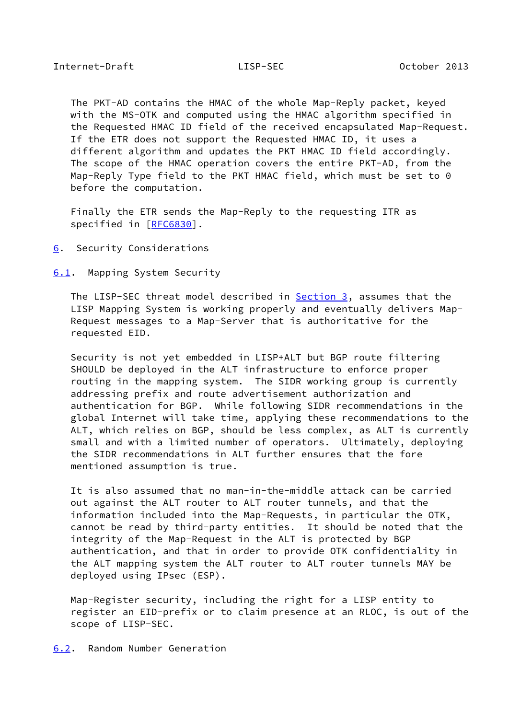<span id="page-17-1"></span> The PKT-AD contains the HMAC of the whole Map-Reply packet, keyed with the MS-OTK and computed using the HMAC algorithm specified in the Requested HMAC ID field of the received encapsulated Map-Request. If the ETR does not support the Requested HMAC ID, it uses a different algorithm and updates the PKT HMAC ID field accordingly. The scope of the HMAC operation covers the entire PKT-AD, from the Map-Reply Type field to the PKT HMAC field, which must be set to 0 before the computation.

 Finally the ETR sends the Map-Reply to the requesting ITR as specified in [\[RFC6830](https://datatracker.ietf.org/doc/pdf/rfc6830)].

<span id="page-17-0"></span>[6](#page-17-0). Security Considerations

<span id="page-17-2"></span>[6.1](#page-17-2). Mapping System Security

 The LISP-SEC threat model described in [Section 3,](#page-3-0) assumes that the LISP Mapping System is working properly and eventually delivers Map- Request messages to a Map-Server that is authoritative for the requested EID.

 Security is not yet embedded in LISP+ALT but BGP route filtering SHOULD be deployed in the ALT infrastructure to enforce proper routing in the mapping system. The SIDR working group is currently addressing prefix and route advertisement authorization and authentication for BGP. While following SIDR recommendations in the global Internet will take time, applying these recommendations to the ALT, which relies on BGP, should be less complex, as ALT is currently small and with a limited number of operators. Ultimately, deploying the SIDR recommendations in ALT further ensures that the fore mentioned assumption is true.

 It is also assumed that no man-in-the-middle attack can be carried out against the ALT router to ALT router tunnels, and that the information included into the Map-Requests, in particular the OTK, cannot be read by third-party entities. It should be noted that the integrity of the Map-Request in the ALT is protected by BGP authentication, and that in order to provide OTK confidentiality in the ALT mapping system the ALT router to ALT router tunnels MAY be deployed using IPsec (ESP).

 Map-Register security, including the right for a LISP entity to register an EID-prefix or to claim presence at an RLOC, is out of the scope of LISP-SEC.

<span id="page-17-3"></span>[6.2](#page-17-3). Random Number Generation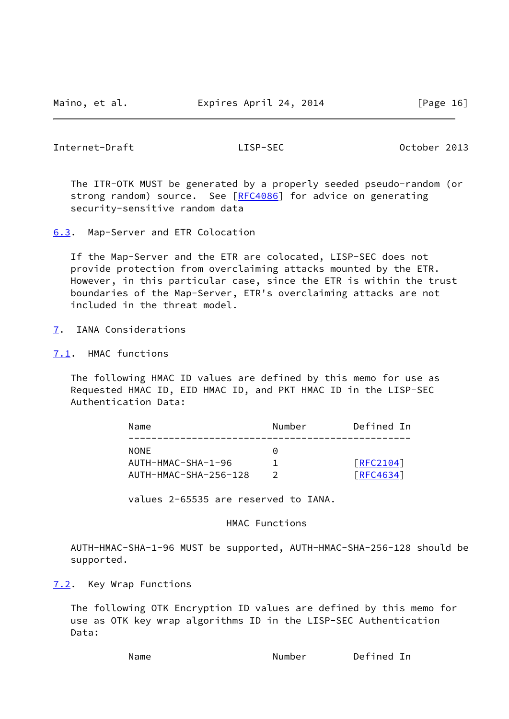<span id="page-18-1"></span>Internet-Draft LISP-SEC October 2013

 The ITR-OTK MUST be generated by a properly seeded pseudo-random (or strong random) source. See [\[RFC4086](https://datatracker.ietf.org/doc/pdf/rfc4086)] for advice on generating security-sensitive random data

<span id="page-18-0"></span>[6.3](#page-18-0). Map-Server and ETR Colocation

 If the Map-Server and the ETR are colocated, LISP-SEC does not provide protection from overclaiming attacks mounted by the ETR. However, in this particular case, since the ETR is within the trust boundaries of the Map-Server, ETR's overclaiming attacks are not included in the threat model.

- <span id="page-18-2"></span>[7](#page-18-2). IANA Considerations
- <span id="page-18-3"></span>[7.1](#page-18-3). HMAC functions

 The following HMAC ID values are defined by this memo for use as Requested HMAC ID, EID HMAC ID, and PKT HMAC ID in the LISP-SEC Authentication Data:

| Name                  | Number   | Defined In |
|-----------------------|----------|------------|
| NONE                  | $\Theta$ |            |
| AUTH-HMAC-SHA-1-96    |          | [REC2104]  |
| AUTH-HMAC-SHA-256-128 |          | [RFC4634]  |

values 2-65535 are reserved to IANA.

# HMAC Functions

 AUTH-HMAC-SHA-1-96 MUST be supported, AUTH-HMAC-SHA-256-128 should be supported.

<span id="page-18-4"></span>[7.2](#page-18-4). Key Wrap Functions

 The following OTK Encryption ID values are defined by this memo for use as OTK key wrap algorithms ID in the LISP-SEC Authentication Data:

Name **Number** Defined In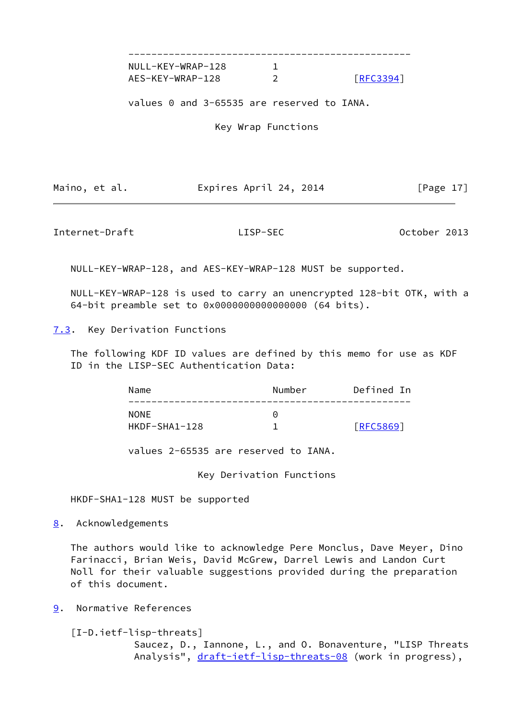-------------------------------------------------

NULL-KEY-WRAP-128 1 AES-KEY-WRAP-128 2 <u>[\[RFC3394](https://datatracker.ietf.org/doc/pdf/rfc3394)]</u>

values 0 and 3-65535 are reserved to IANA.

Key Wrap Functions

Maino, et al. **Expires April 24, 2014** [Page 17]

<span id="page-19-1"></span>Internet-Draft LISP-SEC October 2013

NULL-KEY-WRAP-128, and AES-KEY-WRAP-128 MUST be supported.

 NULL-KEY-WRAP-128 is used to carry an unencrypted 128-bit OTK, with a 64-bit preamble set to 0x0000000000000000 (64 bits).

<span id="page-19-0"></span>[7.3](#page-19-0). Key Derivation Functions

 The following KDF ID values are defined by this memo for use as KDF ID in the LISP-SEC Authentication Data:

| Name            | Number | Defined In       |
|-----------------|--------|------------------|
| <b>NONE</b>     | Θ      |                  |
| $HKDF-SHA1-128$ |        | <b>FRFC58691</b> |

values 2-65535 are reserved to IANA.

Key Derivation Functions

HKDF-SHA1-128 MUST be supported

<span id="page-19-2"></span>[8](#page-19-2). Acknowledgements

 The authors would like to acknowledge Pere Monclus, Dave Meyer, Dino Farinacci, Brian Weis, David McGrew, Darrel Lewis and Landon Curt Noll for their valuable suggestions provided during the preparation of this document.

<span id="page-19-3"></span>[9](#page-19-3). Normative References

<span id="page-19-4"></span>[I-D.ietf-lisp-threats]

 Saucez, D., Iannone, L., and O. Bonaventure, "LISP Threats Analysis", [draft-ietf-lisp-threats-08](https://datatracker.ietf.org/doc/pdf/draft-ietf-lisp-threats-08) (work in progress),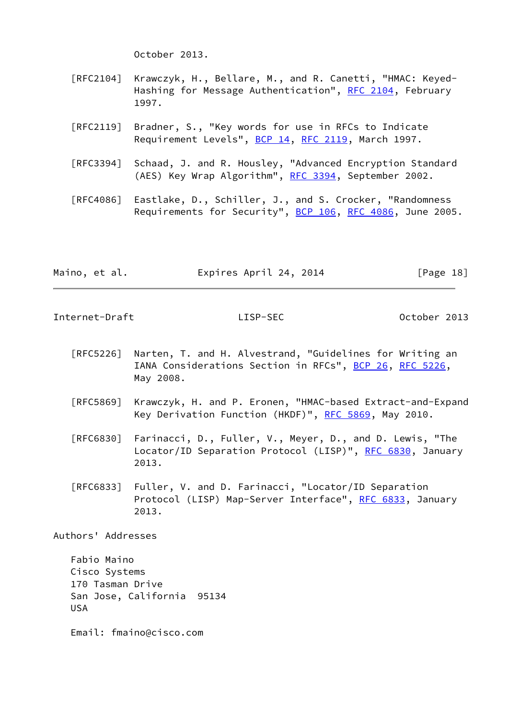October 2013.

- [RFC2104] Krawczyk, H., Bellare, M., and R. Canetti, "HMAC: Keyed- Hashing for Message Authentication", [RFC 2104](https://datatracker.ietf.org/doc/pdf/rfc2104), February 1997.
- [RFC2119] Bradner, S., "Key words for use in RFCs to Indicate Requirement Levels", [BCP 14](https://datatracker.ietf.org/doc/pdf/bcp14), [RFC 2119](https://datatracker.ietf.org/doc/pdf/rfc2119), March 1997.
- [RFC3394] Schaad, J. and R. Housley, "Advanced Encryption Standard (AES) Key Wrap Algorithm", [RFC 3394](https://datatracker.ietf.org/doc/pdf/rfc3394), September 2002.
- [RFC4086] Eastlake, D., Schiller, J., and S. Crocker, "Randomness Requirements for Security", [BCP 106](https://datatracker.ietf.org/doc/pdf/bcp106), [RFC 4086](https://datatracker.ietf.org/doc/pdf/rfc4086), June 2005.

|  | Maino, et al. | Expires April 24, 2014 | [Page 18] |
|--|---------------|------------------------|-----------|
|--|---------------|------------------------|-----------|

<span id="page-20-0"></span>Internet-Draft LISP-SEC October 2013

- [RFC5226] Narten, T. and H. Alvestrand, "Guidelines for Writing an IANA Considerations Section in RFCs", [BCP 26](https://datatracker.ietf.org/doc/pdf/bcp26), [RFC 5226](https://datatracker.ietf.org/doc/pdf/rfc5226), May 2008.
- [RFC5869] Krawczyk, H. and P. Eronen, "HMAC-based Extract-and-Expand Key Derivation Function (HKDF)", [RFC 5869,](https://datatracker.ietf.org/doc/pdf/rfc5869) May 2010.
- [RFC6830] Farinacci, D., Fuller, V., Meyer, D., and D. Lewis, "The Locator/ID Separation Protocol (LISP)", [RFC 6830,](https://datatracker.ietf.org/doc/pdf/rfc6830) January 2013.
- [RFC6833] Fuller, V. and D. Farinacci, "Locator/ID Separation Protocol (LISP) Map-Server Interface", [RFC 6833](https://datatracker.ietf.org/doc/pdf/rfc6833), January 2013.

Authors' Addresses

 Fabio Maino Cisco Systems 170 Tasman Drive San Jose, California 95134 USA

Email: fmaino@cisco.com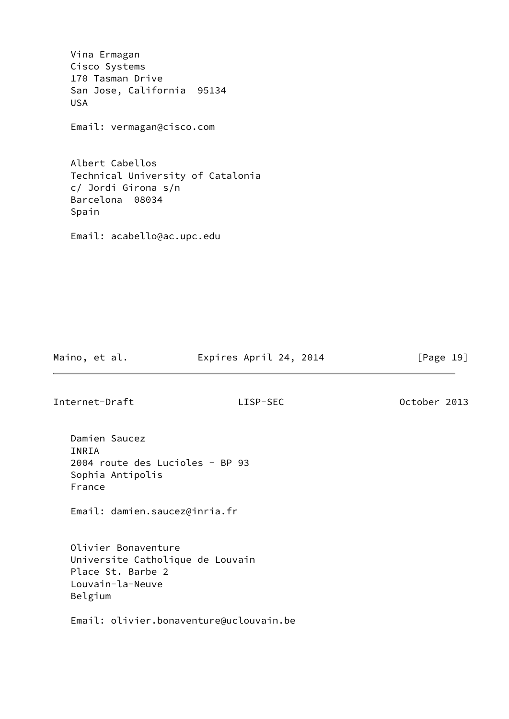Vina Ermagan Cisco Systems 170 Tasman Drive San Jose, California 95134 USA Email: vermagan@cisco.com Albert Cabellos Technical University of Catalonia c/ Jordi Girona s/n Barcelona 08034 Spain Email: acabello@ac.upc.edu

Maino, et al. **Expires April 24, 2014** [Page 19]

Internet-Draft LISP-SEC October 2013

 Damien Saucez INRIA 2004 route des Lucioles - BP 93 Sophia Antipolis France

Email: damien.saucez@inria.fr

 Olivier Bonaventure Universite Catholique de Louvain Place St. Barbe 2 Louvain-la-Neuve Belgium

Email: olivier.bonaventure@uclouvain.be